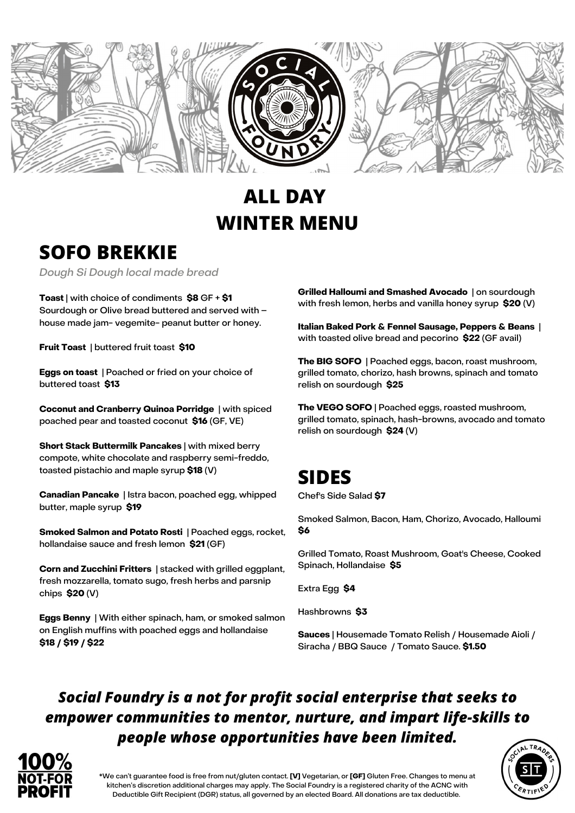

# **ALL DAY WINTER MENU**

# **SOFO BREKKIE**

Dough Si Dough local made bread

**Toast** | with choice of condiments **\$8** GF + **\$1** Sourdough or Olive bread buttered and served with – house made jam- vegemite- peanut butter or honey.

**Fruit Toast** | buttered fruit toast **\$10**

**Eggs on toast** | Poached or fried on your choice of buttered toast **\$13**

**Coconut and Cranberry Quinoa Porridge** | with spiced poached pear and toasted coconut **\$16** (GF, VE)

**Short Stack Buttermilk Pancakes** | with mixed berry compote, white chocolate and raspberry semi-freddo, toasted pistachio and maple syrup **\$18** (V)

**Canadian Pancake** | Istra bacon, poached egg, whipped butter, maple syrup **\$19**

**Smoked Salmon and Potato Rosti** | Poached eggs, rocket, hollandaise sauce and fresh lemon **\$21** (GF)

**Corn and Zucchini Fritters** | stacked with grilled eggplant, fresh mozzarella, tomato sugo, fresh herbs and parsnip chips **\$20** (V)

**Eggs Benny** | With either spinach, ham, or smoked salmon on English muffins with poached eggs and hollandaise **\$18 / \$19 / \$22**

**Grilled Halloumi and Smashed Avocado** | on sourdough with fresh lemon, herbs and vanilla honey syrup **\$20** (V)

**Italian Baked Pork & Fennel Sausage, Peppers & Beans** | with toasted olive bread and pecorino **\$22** (GF avail)

**The BIG SOFO** | Poached eggs, bacon, roast mushroom, grilled tomato, chorizo, hash browns, spinach and tomato relish on sourdough **\$25**

**The VEGO SOFO** | Poached eggs, roasted mushroom, grilled tomato, spinach, hash-browns, avocado and tomato relish on sourdough **\$24** (V)

### **SIDES**

Chef's Side Salad **\$7**

Smoked Salmon, Bacon, Ham, Chorizo, Avocado, Halloumi **\$6**

Grilled Tomato, Roast Mushroom, Goat's Cheese, Cooked Spinach, Hollandaise **\$5**

Extra Egg **\$4**

Hashbrowns **\$3**

**Sauces** | Housemade Tomato Relish / Housemade Aioli / Siracha / BBQ Sauce / Tomato Sauce. **\$1.50**

#### *Social Foundry is a not for profit social enterprise that seeks to empower communities to mentor, nurture, and impart life-skills to people whose opportunities have been limited.*